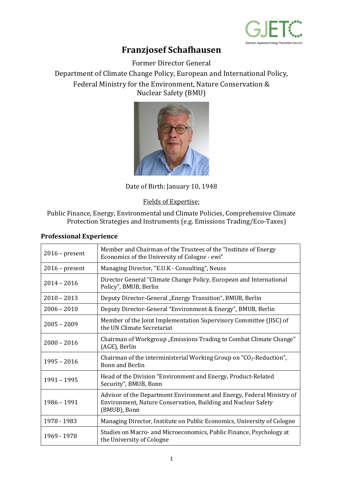

## **Franzjosef Schafhausen**

Former Director General

Department of Climate Change Policy, European and International Policy, Federal Ministry for the Environment, Nature Conservation & Nuclear Safety (BMU)



Date of Birth: January 10, 1948

Fields of Expertise:

Public Finance, Energy, Environmental und Climate Policies, Comprehensive Climate Protection Strategies and Instruments (e.g. Emissions Trading/Eco-Taxes)

| $2016$ – present | Member and Chairman of the Trustees of the "Institute of Energy<br>Economics of the University of Cologne - ewi"                                       |
|------------------|--------------------------------------------------------------------------------------------------------------------------------------------------------|
| $2016$ – present | Managing Director, "E.U.K - Consulting", Neuss                                                                                                         |
| $2014 - 2016$    | Director General "Climate Change Policy, European and International<br>Policy", BMUB, Berlin                                                           |
| $2010 - 2013$    | Deputy Director-General "Energy Transition", BMUB, Berlin                                                                                              |
| $2006 - 2010$    | Deputy Director-General "Environment & Energy", BMUB, Berlin                                                                                           |
| $2005 - 2009$    | Member of the Joint Implementation Supervisory Committee (JISC) of<br>the UN Climate Secretariat                                                       |
| $2000 - 2016$    | Chairman of Workgroup "Emissions Trading to Combat Climate Change"<br>(AGE), Berlin                                                                    |
| $1995 - 2016$    | Chairman of the interministerial Working Group on " $CO2$ -Reduction",<br><b>Bonn and Berlin</b>                                                       |
| 1991 - 1995      | Head of the Division "Environment and Energy, Product-Related<br>Security", BMUB, Bonn                                                                 |
| 1986 - 1991      | Advisor of the Department Environment and Energy, Federal Ministry of<br>Environment, Nature Conservation, Building and Nuclear Safety<br>(BMUB), Bonn |
| 1978 - 1983      | Managing Director, Institute on Public Economics, University of Cologne                                                                                |
| 1969 - 1978      | Studies on Macro- and Microeconomics, Public Finance, Psychology at<br>the University of Cologne                                                       |